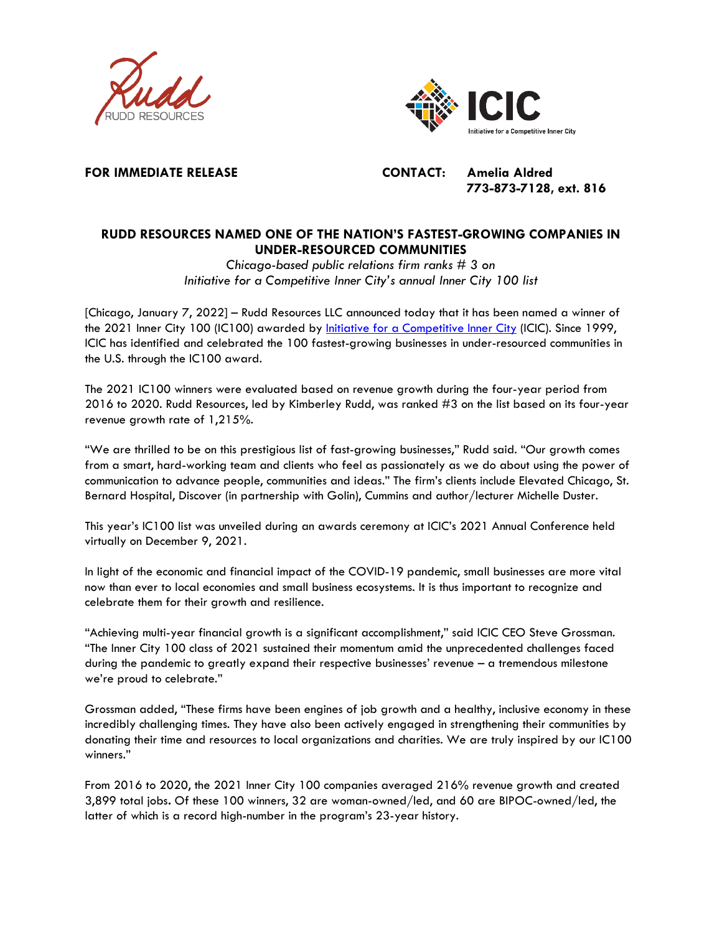



**FOR IMMEDIATE RELEASE CONTACT: Amelia Aldred**

**773-873-7128, ext. 816**

# **RUDD RESOURCES NAMED ONE OF THE NATION'S FASTEST-GROWING COMPANIES IN UNDER-RESOURCED COMMUNITIES**

*Chicago-based public relations firm ranks # 3 on Initiative for a Competitive Inner City's annual Inner City 100 list*

[Chicago, January 7, 2022] – Rudd Resources LLC announced today that it has been named a winner of the 2021 Inner City 100 (IC100) awarded by [Initiative for a Competitive Inner City](https://icic.org/) (ICIC). Since 1999, ICIC has identified and celebrated the 100 fastest-growing businesses in under-resourced communities in the U.S. through the IC100 award.

The 2021 IC100 winners were evaluated based on revenue growth during the four-year period from 2016 to 2020. Rudd Resources, led by Kimberley Rudd, was ranked #3 on the list based on its four-year revenue growth rate of 1,215%.

"We are thrilled to be on this prestigious list of fast-growing businesses," Rudd said. "Our growth comes from a smart, hard-working team and clients who feel as passionately as we do about using the power of communication to advance people, communities and ideas." The firm's clients include Elevated Chicago, St. Bernard Hospital, Discover (in partnership with Golin), Cummins and author/lecturer Michelle Duster.

This year's IC100 list was unveiled during an awards ceremony at ICIC's 2021 Annual Conference held virtually on December 9, 2021.

In light of the economic and financial impact of the COVID-19 pandemic, small businesses are more vital now than ever to local economies and small business ecosystems. It is thus important to recognize and celebrate them for their growth and resilience.

"Achieving multi-year financial growth is a significant accomplishment," said ICIC CEO Steve Grossman. "The Inner City 100 class of 2021 sustained their momentum amid the unprecedented challenges faced during the pandemic to greatly expand their respective businesses' revenue – a tremendous milestone we're proud to celebrate."

Grossman added, "These firms have been engines of job growth and a healthy, inclusive economy in these incredibly challenging times. They have also been actively engaged in strengthening their communities by donating their time and resources to local organizations and charities. We are truly inspired by our IC100 winners."

From 2016 to 2020, the 2021 Inner City 100 companies averaged 216% revenue growth and created 3,899 total jobs**.** Of these 100 winners, 32 are woman-owned/led, and 60 are BIPOC-owned/led, the latter of which is a record high-number in the program's 23-year history.